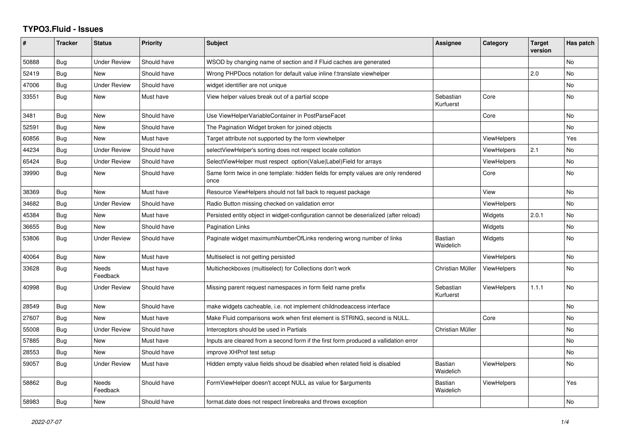## **TYPO3.Fluid - Issues**

| ∦     | <b>Tracker</b> | <b>Status</b>            | <b>Priority</b> | Subject                                                                                   | <b>Assignee</b>             | Category           | <b>Target</b><br>version | Has patch      |
|-------|----------------|--------------------------|-----------------|-------------------------------------------------------------------------------------------|-----------------------------|--------------------|--------------------------|----------------|
| 50888 | Bug            | <b>Under Review</b>      | Should have     | WSOD by changing name of section and if Fluid caches are generated                        |                             |                    |                          | No.            |
| 52419 | Bug            | New                      | Should have     | Wrong PHPDocs notation for default value inline f:translate viewhelper                    |                             |                    | 2.0                      | No             |
| 47006 | Bug            | <b>Under Review</b>      | Should have     | widget identifier are not unique                                                          |                             |                    |                          | No             |
| 33551 | Bug            | New                      | Must have       | View helper values break out of a partial scope                                           | Sebastian<br>Kurfuerst      | Core               |                          | No.            |
| 3481  | Bug            | New                      | Should have     | Use ViewHelperVariableContainer in PostParseFacet                                         |                             | Core               |                          | No             |
| 52591 | Bug            | New                      | Should have     | The Pagination Widget broken for joined objects                                           |                             |                    |                          | No             |
| 60856 | <b>Bug</b>     | New                      | Must have       | Target attribute not supported by the form viewhelper                                     |                             | ViewHelpers        |                          | Yes            |
| 44234 | Bug            | <b>Under Review</b>      | Should have     | selectViewHelper's sorting does not respect locale collation                              |                             | <b>ViewHelpers</b> | 2.1                      | No             |
| 65424 | Bug            | <b>Under Review</b>      | Should have     | SelectViewHelper must respect option(Value Label)Field for arrays                         |                             | <b>ViewHelpers</b> |                          | No             |
| 39990 | Bug            | New                      | Should have     | Same form twice in one template: hidden fields for empty values are only rendered<br>once |                             | Core               |                          | No             |
| 38369 | Bug            | New                      | Must have       | Resource ViewHelpers should not fall back to request package                              |                             | View               |                          | No             |
| 34682 | Bug            | <b>Under Review</b>      | Should have     | Radio Button missing checked on validation error                                          |                             | <b>ViewHelpers</b> |                          | No             |
| 45384 | <b>Bug</b>     | <b>New</b>               | Must have       | Persisted entity object in widget-configuration cannot be deserialized (after reload)     |                             | Widgets            | 2.0.1                    | No             |
| 36655 | Bug            | New                      | Should have     | <b>Pagination Links</b>                                                                   |                             | Widgets            |                          | No             |
| 53806 | Bug            | Under Review             | Should have     | Paginate widget maximumNumberOfLinks rendering wrong number of links                      | <b>Bastian</b><br>Waidelich | Widgets            |                          | No             |
| 40064 | Bug            | <b>New</b>               | Must have       | Multiselect is not getting persisted                                                      |                             | <b>ViewHelpers</b> |                          | No             |
| 33628 | Bug            | <b>Needs</b><br>Feedback | Must have       | Multicheckboxes (multiselect) for Collections don't work                                  | Christian Müller            | <b>ViewHelpers</b> |                          | No             |
| 40998 | Bug            | <b>Under Review</b>      | Should have     | Missing parent request namespaces in form field name prefix                               | Sebastian<br>Kurfuerst      | <b>ViewHelpers</b> | 1.1.1                    | No             |
| 28549 | Bug            | <b>New</b>               | Should have     | make widgets cacheable, i.e. not implement childnodeaccess interface                      |                             |                    |                          | <b>No</b>      |
| 27607 | <b>Bug</b>     | <b>New</b>               | Must have       | Make Fluid comparisons work when first element is STRING, second is NULL.                 |                             | Core               |                          | N <sub>o</sub> |
| 55008 | Bug            | <b>Under Review</b>      | Should have     | Interceptors should be used in Partials                                                   | Christian Müller            |                    |                          | No             |
| 57885 | Bug            | <b>New</b>               | Must have       | Inputs are cleared from a second form if the first form produced a vallidation error      |                             |                    |                          | No             |
| 28553 | Bug            | <b>New</b>               | Should have     | improve XHProf test setup                                                                 |                             |                    |                          | N <sub>o</sub> |
| 59057 | Bug            | <b>Under Review</b>      | Must have       | Hidden empty value fields shoud be disabled when related field is disabled                | <b>Bastian</b><br>Waidelich | <b>ViewHelpers</b> |                          | No             |
| 58862 | Bug            | <b>Needs</b><br>Feedback | Should have     | FormViewHelper doesn't accept NULL as value for \$arguments                               | <b>Bastian</b><br>Waidelich | <b>ViewHelpers</b> |                          | Yes            |
| 58983 | Bug            | New                      | Should have     | format.date does not respect linebreaks and throws exception                              |                             |                    |                          | No             |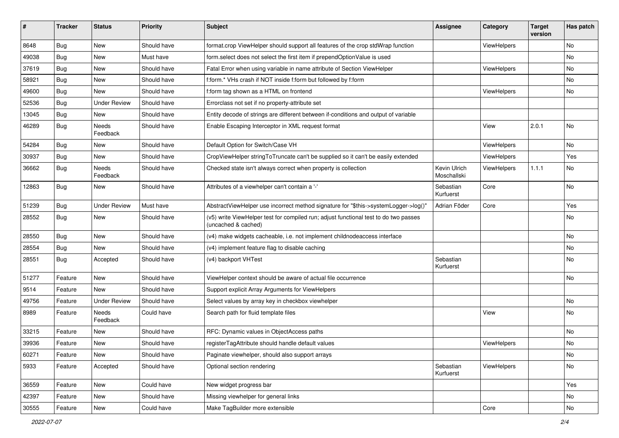| #     | <b>Tracker</b> | <b>Status</b>            | <b>Priority</b> | <b>Subject</b>                                                                                              | <b>Assignee</b>             | Category    | <b>Target</b><br>version | Has patch |
|-------|----------------|--------------------------|-----------------|-------------------------------------------------------------------------------------------------------------|-----------------------------|-------------|--------------------------|-----------|
| 8648  | Bug            | New                      | Should have     | format.crop ViewHelper should support all features of the crop stdWrap function                             |                             | ViewHelpers |                          | No        |
| 49038 | Bug            | New                      | Must have       | form.select does not select the first item if prependOptionValue is used                                    |                             |             |                          | No        |
| 37619 | Bug            | New                      | Should have     | Fatal Error when using variable in name attribute of Section ViewHelper                                     |                             | ViewHelpers |                          | No        |
| 58921 | Bug            | New                      | Should have     | f:form.* VHs crash if NOT inside f:form but followed by f:form                                              |                             |             |                          | No        |
| 49600 | Bug            | New                      | Should have     | f:form tag shown as a HTML on frontend                                                                      |                             | ViewHelpers |                          | No        |
| 52536 | Bug            | <b>Under Review</b>      | Should have     | Errorclass not set if no property-attribute set                                                             |                             |             |                          |           |
| 13045 | Bug            | New                      | Should have     | Entity decode of strings are different between if-conditions and output of variable                         |                             |             |                          |           |
| 46289 | <b>Bug</b>     | <b>Needs</b><br>Feedback | Should have     | Enable Escaping Interceptor in XML request format                                                           |                             | View        | 2.0.1                    | No        |
| 54284 | Bug            | New                      | Should have     | Default Option for Switch/Case VH                                                                           |                             | ViewHelpers |                          | No.       |
| 30937 | Bug            | New                      | Should have     | CropViewHelper stringToTruncate can't be supplied so it can't be easily extended                            |                             | ViewHelpers |                          | Yes       |
| 36662 | Bug            | Needs<br>Feedback        | Should have     | Checked state isn't always correct when property is collection                                              | Kevin Ulrich<br>Moschallski | ViewHelpers | 1.1.1                    | No        |
| 12863 | Bug            | New                      | Should have     | Attributes of a viewhelper can't contain a '-'                                                              | Sebastian<br>Kurfuerst      | Core        |                          | No        |
| 51239 | Bug            | <b>Under Review</b>      | Must have       | AbstractViewHelper use incorrect method signature for "\$this->systemLogger->log()"                         | Adrian Föder                | Core        |                          | Yes       |
| 28552 | Bug            | New                      | Should have     | (v5) write ViewHelper test for compiled run; adjust functional test to do two passes<br>(uncached & cached) |                             |             |                          | No        |
| 28550 | Bug            | New                      | Should have     | (v4) make widgets cacheable, i.e. not implement childnodeaccess interface                                   |                             |             |                          | No        |
| 28554 | Bug            | <b>New</b>               | Should have     | (v4) implement feature flag to disable caching                                                              |                             |             |                          | No        |
| 28551 | <b>Bug</b>     | Accepted                 | Should have     | (v4) backport VHTest                                                                                        | Sebastian<br>Kurfuerst      |             |                          | No        |
| 51277 | Feature        | New                      | Should have     | ViewHelper context should be aware of actual file occurrence                                                |                             |             |                          | No        |
| 9514  | Feature        | New                      | Should have     | Support explicit Array Arguments for ViewHelpers                                                            |                             |             |                          |           |
| 49756 | Feature        | <b>Under Review</b>      | Should have     | Select values by array key in checkbox viewhelper                                                           |                             |             |                          | No        |
| 8989  | Feature        | Needs<br>Feedback        | Could have      | Search path for fluid template files                                                                        |                             | View        |                          | No        |
| 33215 | Feature        | New                      | Should have     | RFC: Dynamic values in ObjectAccess paths                                                                   |                             |             |                          | No        |
| 39936 | Feature        | New                      | Should have     | registerTagAttribute should handle default values                                                           |                             | ViewHelpers |                          | No        |
| 60271 | Feature        | New                      | Should have     | Paginate viewhelper, should also support arrays                                                             |                             |             |                          | No        |
| 5933  | Feature        | Accepted                 | Should have     | Optional section rendering                                                                                  | Sebastian<br>Kurfuerst      | ViewHelpers |                          | No        |
| 36559 | Feature        | New                      | Could have      | New widget progress bar                                                                                     |                             |             |                          | Yes       |
| 42397 | Feature        | New                      | Should have     | Missing viewhelper for general links                                                                        |                             |             |                          | No        |
| 30555 | Feature        | New                      | Could have      | Make TagBuilder more extensible                                                                             |                             | Core        |                          | No        |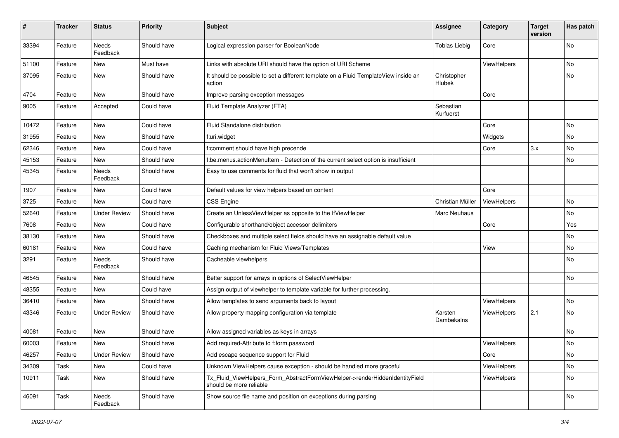| ∦     | <b>Tracker</b> | <b>Status</b>            | <b>Priority</b> | <b>Subject</b>                                                                                         | <b>Assignee</b>        | Category    | <b>Target</b><br>version | Has patch |
|-------|----------------|--------------------------|-----------------|--------------------------------------------------------------------------------------------------------|------------------------|-------------|--------------------------|-----------|
| 33394 | Feature        | <b>Needs</b><br>Feedback | Should have     | Logical expression parser for BooleanNode                                                              | <b>Tobias Liebig</b>   | Core        |                          | No        |
| 51100 | Feature        | New                      | Must have       | Links with absolute URI should have the option of URI Scheme                                           |                        | ViewHelpers |                          | No        |
| 37095 | Feature        | New                      | Should have     | It should be possible to set a different template on a Fluid TemplateView inside an<br>action          | Christopher<br>Hlubek  |             |                          | No        |
| 4704  | Feature        | <b>New</b>               | Should have     | Improve parsing exception messages                                                                     |                        | Core        |                          |           |
| 9005  | Feature        | Accepted                 | Could have      | Fluid Template Analyzer (FTA)                                                                          | Sebastian<br>Kurfuerst |             |                          |           |
| 10472 | Feature        | <b>New</b>               | Could have      | Fluid Standalone distribution                                                                          |                        | Core        |                          | No        |
| 31955 | Feature        | New                      | Should have     | f:uri.widget                                                                                           |                        | Widgets     |                          | No        |
| 62346 | Feature        | New                      | Could have      | f:comment should have high precende                                                                    |                        | Core        | 3.x                      | No        |
| 45153 | Feature        | New                      | Should have     | f:be.menus.actionMenuItem - Detection of the current select option is insufficient                     |                        |             |                          | No        |
| 45345 | Feature        | Needs<br>Feedback        | Should have     | Easy to use comments for fluid that won't show in output                                               |                        |             |                          |           |
| 1907  | Feature        | New                      | Could have      | Default values for view helpers based on context                                                       |                        | Core        |                          |           |
| 3725  | Feature        | New                      | Could have      | <b>CSS Engine</b>                                                                                      | Christian Müller       | ViewHelpers |                          | No.       |
| 52640 | Feature        | <b>Under Review</b>      | Should have     | Create an UnlessViewHelper as opposite to the IfViewHelper                                             | Marc Neuhaus           |             |                          | No        |
| 7608  | Feature        | New                      | Could have      | Configurable shorthand/object accessor delimiters                                                      |                        | Core        |                          | Yes       |
| 38130 | Feature        | New                      | Should have     | Checkboxes and multiple select fields should have an assignable default value                          |                        |             |                          | No        |
| 60181 | Feature        | <b>New</b>               | Could have      | Caching mechanism for Fluid Views/Templates                                                            |                        | View        |                          | <b>No</b> |
| 3291  | Feature        | Needs<br>Feedback        | Should have     | Cacheable viewhelpers                                                                                  |                        |             |                          | No        |
| 46545 | Feature        | New                      | Should have     | Better support for arrays in options of SelectViewHelper                                               |                        |             |                          | No        |
| 48355 | Feature        | New                      | Could have      | Assign output of viewhelper to template variable for further processing.                               |                        |             |                          |           |
| 36410 | Feature        | New                      | Should have     | Allow templates to send arguments back to layout                                                       |                        | ViewHelpers |                          | No        |
| 43346 | Feature        | <b>Under Review</b>      | Should have     | Allow property mapping configuration via template                                                      | Karsten<br>Dambekalns  | ViewHelpers | 2.1                      | No.       |
| 40081 | Feature        | New                      | Should have     | Allow assigned variables as keys in arrays                                                             |                        |             |                          | <b>No</b> |
| 60003 | Feature        | New                      | Should have     | Add required-Attribute to f:form.password                                                              |                        | ViewHelpers |                          | No        |
| 46257 | Feature        | <b>Under Review</b>      | Should have     | Add escape sequence support for Fluid                                                                  |                        | Core        |                          | No        |
| 34309 | Task           | New                      | Could have      | Unknown ViewHelpers cause exception - should be handled more graceful                                  |                        | ViewHelpers |                          | No        |
| 10911 | Task           | New                      | Should have     | Tx_Fluid_ViewHelpers_Form_AbstractFormViewHelper->renderHiddenIdentityField<br>should be more reliable |                        | ViewHelpers |                          | No        |
| 46091 | Task           | Needs<br>Feedback        | Should have     | Show source file name and position on exceptions during parsing                                        |                        |             |                          | No        |